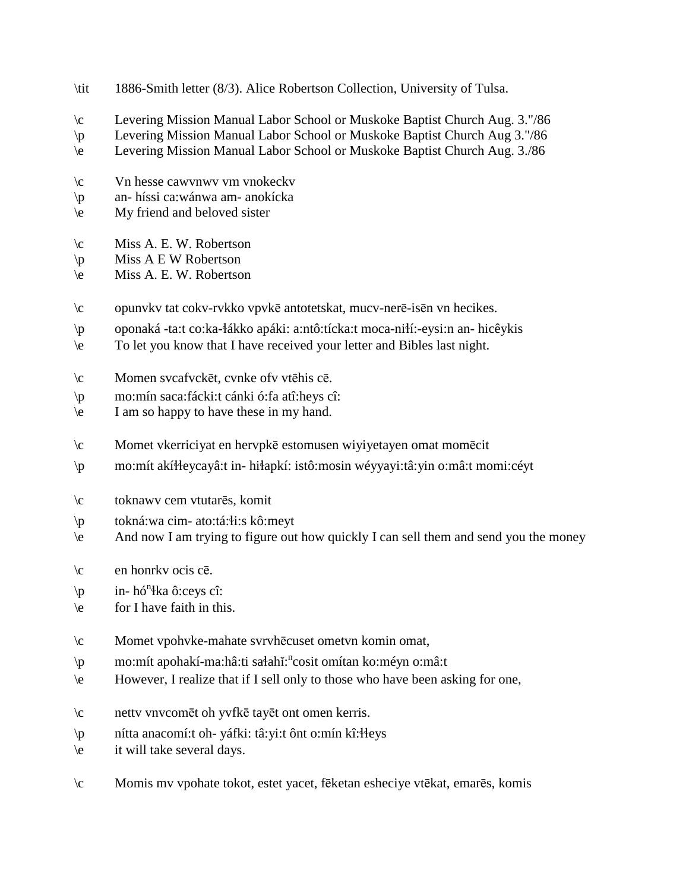- \tit 1886-Smith letter (8/3). Alice Robertson Collection, University of Tulsa.
- \c Levering Mission Manual Labor School or Muskoke Baptist Church Aug. 3."/86
- \p Levering Mission Manual Labor School or Muskoke Baptist Church Aug 3."/86
- \e Levering Mission Manual Labor School or Muskoke Baptist Church Aug. 3./86
- \c Vn hesse cawvnwv vm vnokeckv
- \p an- híssi ca:wánwa am- anokícka
- \e My friend and beloved sister
- \c Miss A. E. W. Robertson
- $\pmb{\varphi}$  Miss A E W Robertson
- \e Miss A. E. W. Robertson
- \c opunvkv tat cokv-rvkko vpvkē antotetskat, mucv-nerē-isēn vn hecikes.
- \p oponaká -ta:t co:ka-!ákko apáki: a:ntô:tícka:t moca-ni!í:-eysi:n an- hicêykis
- \e To let you know that I have received your letter and Bibles last night.
- \c Momen svcafvckēt, cvnke ofv vtēhis cē.
- \p mo:mín saca:fácki:t cánki ó:fa atî:heys cî:
- \e I am so happy to have these in my hand.
- \c Momet vkerriciyat en hervpkē estomusen wiyiyetayen omat momēcit
- \p mo:mít akí!!eycayâ:t in- hi!apkí: istô:mosin wéyyayi:tâ:yin o:mâ:t momi:céyt
- \c toknawv cem vtutarēs, komit
- $\pi$  tokná:wa cim- ato:tá: $\pi$ i:s kô:meyt
- \e And now I am trying to figure out how quickly I can sell them and send you the money
- $\c$  en honrkv ocis cē.
- $\pi$  in- hó<sup>n</sup>łka ô:ceys cî:
- \e for I have faith in this.
- \c Momet vpohvke-mahate svrvhēcuset ometvn komin omat,
- \p mo:mít apohakí-ma:hâ:ti sa‡ahĭ:<sup>n</sup>cosit omítan ko:méyn o:mâ:t
- \e However, I realize that if I sell only to those who have been asking for one,
- \c nettv vnvcomēt oh yvfkē tayēt ont omen kerris.
- \p nítta anacomí:t oh- yáfki: tâ:yi:t ônt o:mín kî:!!eys
- \e it will take several days.
- \c Momis mv vpohate tokot, estet yacet, fēketan esheciye vtēkat, emarēs, komis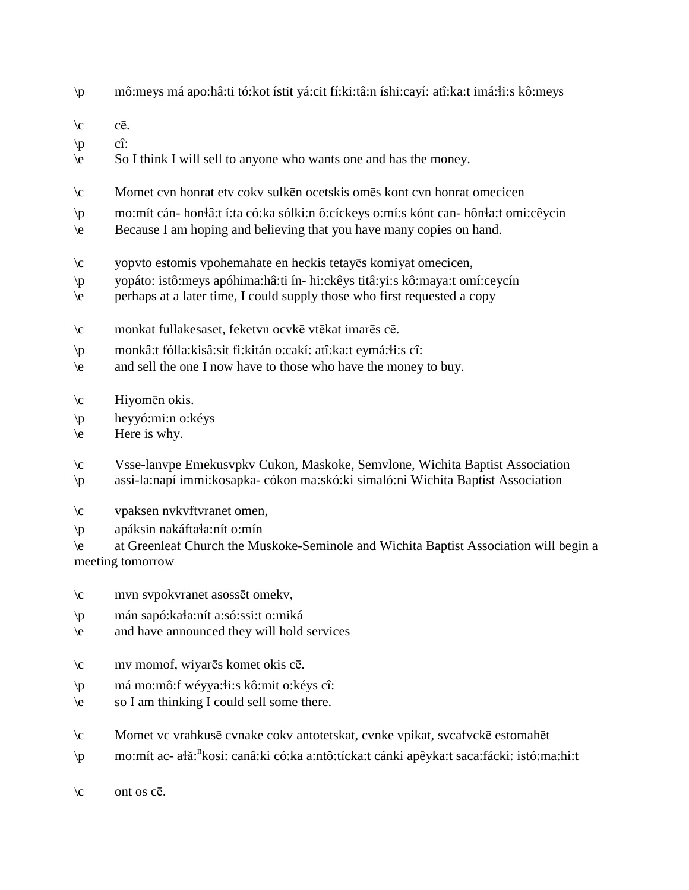- \p mô:meys má apo:hâ:ti tó:kot ístit yá:cit fí:ki:tâ:n íshi:cayí: atî:ka:t imá:!i:s kô:meys
- $\mathcal{C}$   $\mathcal{C}\overline{\mathcal{C}}$ .
- $\langle p \rangle$  cî:
- \e So I think I will sell to anyone who wants one and has the money.
- \c Momet cvn honrat etv cokv sulkēn ocetskis omēs kont cvn honrat omecicen
- \p mo:mít cán- hon!â:t í:ta có:ka sólki:n ô:cíckeys o:mí:s kónt can- hôn!a:t omi:cêycin
- \e Because I am hoping and believing that you have many copies on hand.
- \c yopvto estomis vpohemahate en heckis tetayēs komiyat omecicen,
- \p yopáto: istô:meys apóhima:hâ:ti ín- hi:ckêys titâ:yi:s kô:maya:t omí:ceycín
- \e perhaps at a later time, I could supply those who first requested a copy
- \c monkat fullakesaset, feketvn ocvkē vtēkat imarēs cē.
- $\pi$  monkâ:t fólla:kisâ:sit fi:kitán o:cakí: atî:ka:t eymá:łi:s cî:
- \e and sell the one I now have to those who have the money to buy.
- \c Hiyomēn okis.
- \p heyyó:mi:n o:kéys
- $\text{Here is why.}$

\c Vsse-lanvpe Emekusvpkv Cukon, Maskoke, Semvlone, Wichita Baptist Association \p assi-la:napí immi:kosapka- cókon ma:skó:ki simaló:ni Wichita Baptist Association

- \c vpaksen nvkvftvranet omen,
- $\pi$  apáksin nakáfta a:nít o:mín

\e at Greenleaf Church the Muskoke-Seminole and Wichita Baptist Association will begin a meeting tomorrow

- \c mvn svpokvranet asossēt omekv,
- \p mán sapó:ka!a:nít a:só:ssi:t o:miká
- \e and have announced they will hold services
- \c mv momof, wiyarēs komet okis cē.
- \p má mo:mô:f wéyya:!i:s kô:mit o:kéys cî:
- \e so I am thinking I could sell some there.
- \c Momet vc vrahkusē cvnake cokv antotetskat, cvnke vpikat, svcafvckē estomahēt
- \p mo:mít ac- ałă:<sup>n</sup>kosi: canâ:ki có:ka a:ntô:tícka:t cánki apêyka:t saca:fácki: istó:ma:hi:t

 $\operatorname{c}$  ont os  $c\overline{e}$ .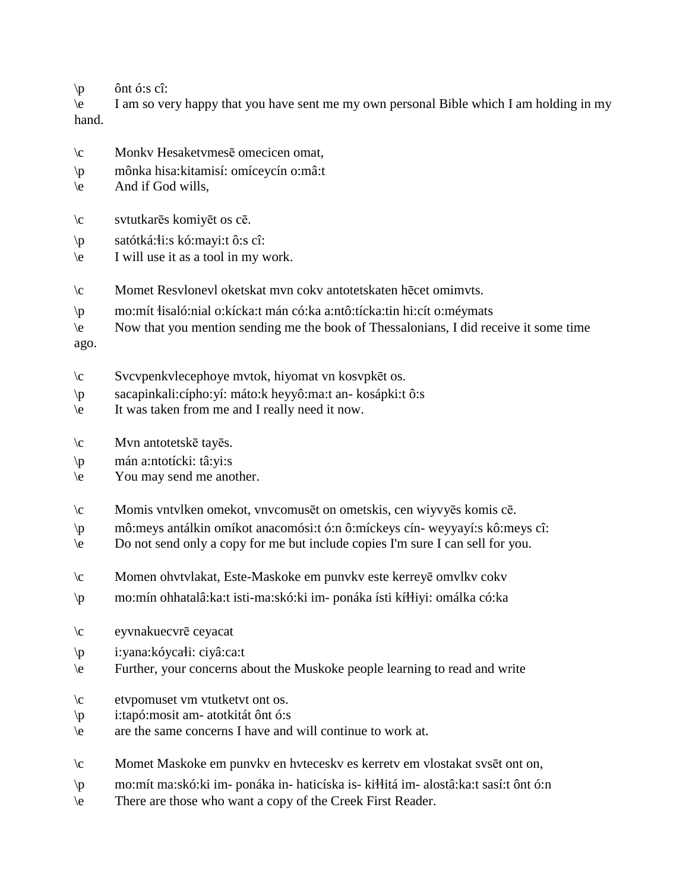$\pi$  ônt ó:s cî:

\e I am so very happy that you have sent me my own personal Bible which I am holding in my hand.

- \c Monkv Hesaketvmesē omecicen omat,
- \p mônka hisa:kitamisí: omíceycín o:mâ:t
- \e And if God wills,
- \c svtutkarēs komiyēt os cē.
- \p satótká:!i:s kó:mayi:t ô:s cî:
- \e I will use it as a tool in my work.
- \c Momet Resvlonevl oketskat mvn cokv antotetskaten hēcet omimvts.
- \p mo:mít !isaló:nial o:kícka:t mán có:ka a:ntô:tícka:tin hi:cít o:méymats
- \e Now that you mention sending me the book of Thessalonians, I did receive it some time

ago.

- \c Svcvpenkvlecephoye mvtok, hiyomat vn kosvpkēt os.
- \p sacapinkali:cípho:yí: máto:k heyyô:ma:t an- kosápki:t ô:s
- \e It was taken from me and I really need it now.
- \c Mvn antotetskē tayēs.
- \p mán a:ntotícki: tâ:yi:s
- \e You may send me another.
- \c Momis vntvlken omekot, vnvcomusēt on ometskis, cen wiyvyēs komis cē.
- \p mô:meys antálkin omíkot anacomósi:t ó:n ô:míckeys cín- weyyayí:s kô:meys cî:
- \e Do not send only a copy for me but include copies I'm sure I can sell for you.
- \c Momen ohvtvlakat, Este-Maskoke em punvkv este kerreyē omvlkv cokv
- \p mo:mín ohhatalâ:ka:t isti-ma:skó:ki im- ponáka ísti kí!!iyi: omálka có:ka
- \c eyvnakuecvrē ceyacat
- \p i:yana:kóycałi: ciyâ:ca:t
- \e Further, your concerns about the Muskoke people learning to read and write
- \c etvpomuset vm vtutketvt ont os.
- \p i:tapó:mosit am- atotkitát ônt ó:s
- \e are the same concerns I have and will continue to work at.
- \c Momet Maskoke em punvkv en hvteceskv es kerretv em vlostakat svsēt ont on,
- \p mo:mít ma:skó:ki im- ponáka in- haticíska is- ki!!itá im- alostâ:ka:t sasí:t ônt ó:n
- \e There are those who want a copy of the Creek First Reader.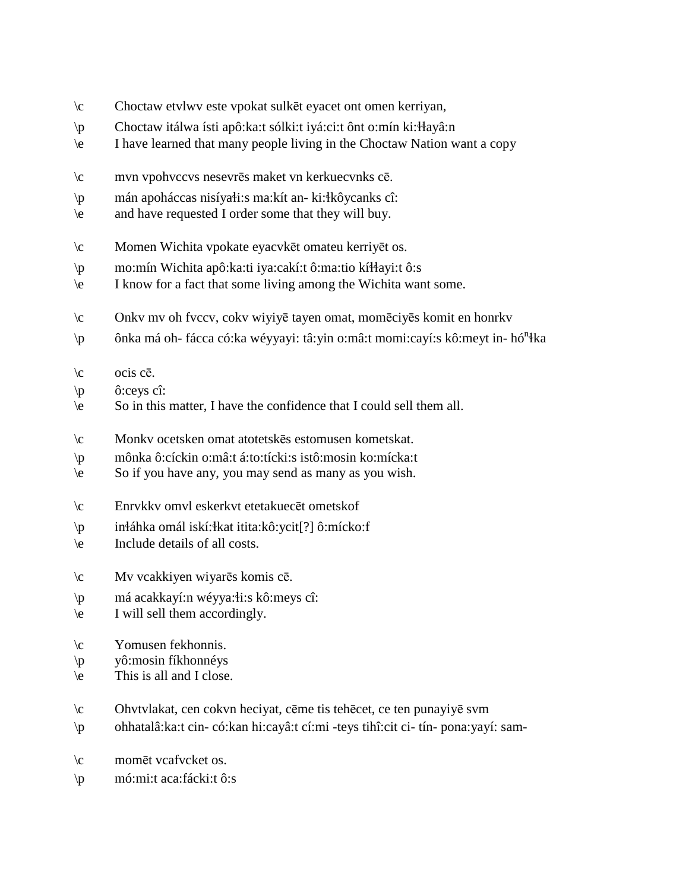- $\setminus c$ Choctaw etvlwy este vpokat sulkēt eyacet ont omen kerriyan,
- Choctaw itálwa ísti apô: ka: t sólki: t iyá: ci: t ônt o: mín ki: Hayâ: n  $\mathsf{p}$
- I have learned that many people living in the Choctaw Nation want a copy  $\vee$
- $\setminus c$ mvn vpohvccvs nesevrēs maket vn kerkuecvnks cē.
- $\mathsf{p}$ mán apoháccas nisíyałi:s ma:kít an- ki:łkôycanks cî:
- and have requested I order some that they will buy.  $\vee$
- $\setminus c$ Momen Wichita vpokate eyacvkēt omateu kerriyēt os.
- mo:mín Wichita apô:ka:ti iya:cakí:t ô:ma:tio kíłłayi:t ô:s  $\mathsf{p}$
- I know for a fact that some living among the Wichita want some.  $\vee$
- Onkv mv oh fvccv, cokv wiyiyē tayen omat, momēciyēs komit en honrkv  $\setminus c$
- ônka má oh- fácca có:ka wéyyayi: tâ:yin o:mâ:t momi:cayí:s kô:meyt in- hó<sup>n</sup>łka  $\mathsf{p}$
- $\setminus c$ ocis cē.
- $\sqrt{p}$ ô:ceys cî:
- So in this matter, I have the confidence that I could sell them all.  $\left\langle e\right\rangle$
- $\sqrt{c}$ Monky ocetsken omat atotetskes estomusen kometskat.
- mônka ô:cíckin o:mâ:t á:to:tícki:s istô:mosin ko:mícka:t  $\mathsf{p}$
- So if you have any, you may send as many as you wish.  $\left\langle e\right\rangle$
- $\setminus c$ Enrykky omyl eskerkyt etetakuecēt ometskof
- $\mathbf{p}$ inłáhka omál iskí: łkat itita: kô: ycit<sup>[?]</sup> ô: mícko: f
- $\left\langle e\right\rangle$ Include details of all costs.
- $\setminus c$ Mv vcakkiyen wiyarēs komis cē.
- má acakkayí:n wéyya: i:s kô: meys cî:  $\mathsf{p}$
- I will sell them accordingly.  $\left\langle e\right\rangle$
- $\setminus c$ Yomusen fekhonnis.
- yô:mosin fíkhonnéys  $\sqrt{p}$
- This is all and I close.  $\vee$
- $\setminus c$ Ohvtvlakat, cen cokvn heciyat, cēme tis tehēcet, ce ten punayiyē svm
- ohhatalâ: ka: t cin-có: kan hi: cayâ: t cí: mi teys tihî: cit ci-tín-pona: yayí: sam- $\mathcal{D}$
- $\setminus c$ momēt veafyeket os.
- mó:mi:t aca:fácki:t ô:s  $\mathsf{p}$